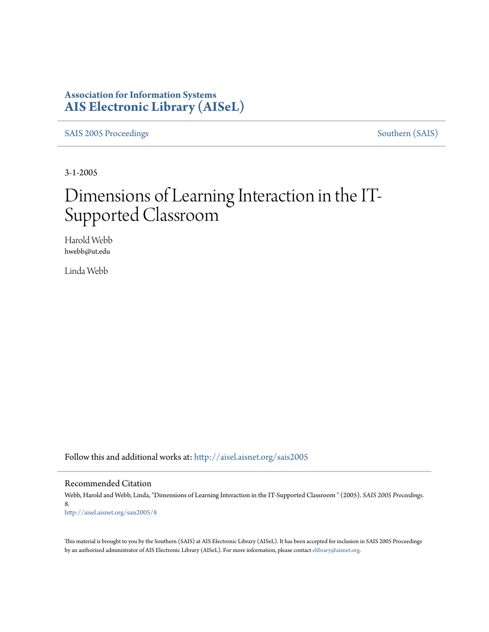### **Association for Information Systems [AIS Electronic Library \(AISeL\)](http://aisel.aisnet.org?utm_source=aisel.aisnet.org%2Fsais2005%2F8&utm_medium=PDF&utm_campaign=PDFCoverPages)**

[SAIS 2005 Proceedings](http://aisel.aisnet.org/sais2005?utm_source=aisel.aisnet.org%2Fsais2005%2F8&utm_medium=PDF&utm_campaign=PDFCoverPages) [Southern \(SAIS\)](http://aisel.aisnet.org/sais?utm_source=aisel.aisnet.org%2Fsais2005%2F8&utm_medium=PDF&utm_campaign=PDFCoverPages)

3-1-2005

# Dimensions of Learning Interaction in the IT-Supported Classroom

Harold Webb hwebb@ut.edu

Linda Webb

Follow this and additional works at: [http://aisel.aisnet.org/sais2005](http://aisel.aisnet.org/sais2005?utm_source=aisel.aisnet.org%2Fsais2005%2F8&utm_medium=PDF&utm_campaign=PDFCoverPages)

#### Recommended Citation

Webb, Harold and Webb, Linda, "Dimensions of Learning Interaction in the IT-Supported Classroom " (2005). *SAIS 2005 Proceedings*. 8. [http://aisel.aisnet.org/sais2005/8](http://aisel.aisnet.org/sais2005/8?utm_source=aisel.aisnet.org%2Fsais2005%2F8&utm_medium=PDF&utm_campaign=PDFCoverPages)

This material is brought to you by the Southern (SAIS) at AIS Electronic Library (AISeL). It has been accepted for inclusion in SAIS 2005 Proceedings by an authorized administrator of AIS Electronic Library (AISeL). For more information, please contact [elibrary@aisnet.org](mailto:elibrary@aisnet.org%3E).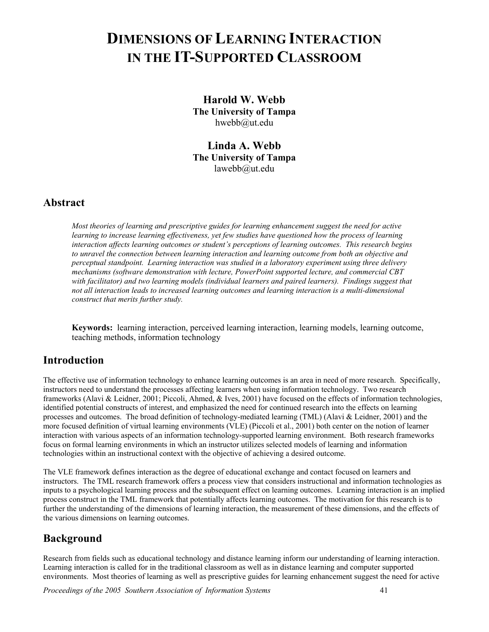## **DIMENSIONS OF LEARNING INTERACTION IN THE IT-SUPPORTED CLASSROOM**

**Harold W. Webb The University of Tampa**  [hwebb@ut.edu](mailto:hwebb@ut.edu)

**Linda A. Webb The University of Tampa**  lawebb@ut.edu

### **Abstract**

*Most theories of learning and prescriptive guides for learning enhancement suggest the need for active learning to increase learning effectiveness, yet few studies have questioned how the process of learning interaction affects learning outcomes or student's perceptions of learning outcomes. This research begins to unravel the connection between learning interaction and learning outcome from both an objective and perceptual standpoint. Learning interaction was studied in a laboratory experiment using three delivery mechanisms (software demonstration with lecture, PowerPoint supported lecture, and commercial CBT with facilitator) and two learning models (individual learners and paired learners). Findings suggest that not all interaction leads to increased learning outcomes and learning interaction is a multi-dimensional construct that merits further study.* 

**Keywords:** learning interaction, perceived learning interaction, learning models, learning outcome, teaching methods, information technology

### **Introduction**

The effective use of information technology to enhance learning outcomes is an area in need of more research. Specifically, instructors need to understand the processes affecting learners when using information technology. Two research frameworks (Alavi & Leidner, 2001; Piccoli, Ahmed, & Ives, 2001) have focused on the effects of information technologies, identified potential constructs of interest, and emphasized the need for continued research into the effects on learning processes and outcomes. The broad definition of technology-mediated learning (TML) (Alavi & Leidner, 2001) and the more focused definition of virtual learning environments (VLE) (Piccoli et al., 2001) both center on the notion of learner interaction with various aspects of an information technology-supported learning environment. Both research frameworks focus on formal learning environments in which an instructor utilizes selected models of learning and information technologies within an instructional context with the objective of achieving a desired outcome.

The VLE framework defines interaction as the degree of educational exchange and contact focused on learners and instructors. The TML research framework offers a process view that considers instructional and information technologies as inputs to a psychological learning process and the subsequent effect on learning outcomes. Learning interaction is an implied process construct in the TML framework that potentially affects learning outcomes. The motivation for this research is to further the understanding of the dimensions of learning interaction, the measurement of these dimensions, and the effects of the various dimensions on learning outcomes.

### **Background**

Research from fields such as educational technology and distance learning inform our understanding of learning interaction. Learning interaction is called for in the traditional classroom as well as in distance learning and computer supported environments. Most theories of learning as well as prescriptive guides for learning enhancement suggest the need for active

*Proceedings of the 2005 Southern Association of Information Systems* 41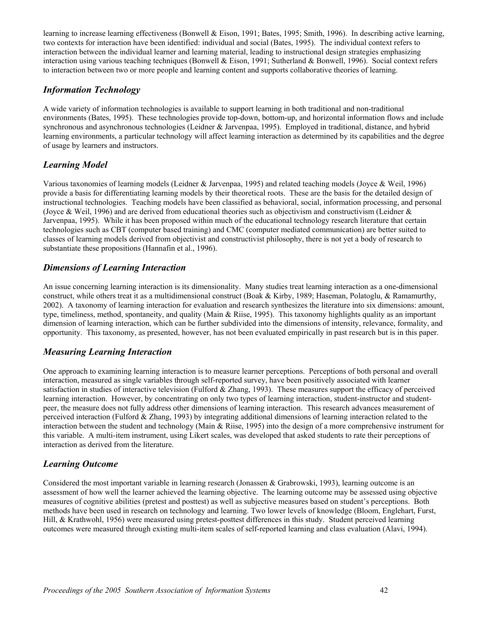learning to increase learning effectiveness (Bonwell & Eison, 1991; Bates, 1995; Smith, 1996). In describing active learning, two contexts for interaction have been identified: individual and social (Bates, 1995). The individual context refers to interaction between the individual learner and learning material, leading to instructional design strategies emphasizing interaction using various teaching techniques (Bonwell & Eison, 1991; Sutherland & Bonwell, 1996). Social context refers to interaction between two or more people and learning content and supports collaborative theories of learning.

### *Information Technology*

A wide variety of information technologies is available to support learning in both traditional and non-traditional environments (Bates, 1995). These technologies provide top-down, bottom-up, and horizontal information flows and include synchronous and asynchronous technologies (Leidner & Jarvenpaa, 1995). Employed in traditional, distance, and hybrid learning environments, a particular technology will affect learning interaction as determined by its capabilities and the degree of usage by learners and instructors.

### *Learning Model*

Various taxonomies of learning models (Leidner & Jarvenpaa, 1995) and related teaching models (Joyce & Weil, 1996) provide a basis for differentiating learning models by their theoretical roots. These are the basis for the detailed design of instructional technologies. Teaching models have been classified as behavioral, social, information processing, and personal (Joyce & Weil, 1996) and are derived from educational theories such as objectivism and constructivism (Leidner  $\&$ Jarvenpaa, 1995). While it has been proposed within much of the educational technology research literature that certain technologies such as CBT (computer based training) and CMC (computer mediated communication) are better suited to classes of learning models derived from objectivist and constructivist philosophy, there is not yet a body of research to substantiate these propositions (Hannafin et al., 1996).

### *Dimensions of Learning Interaction*

An issue concerning learning interaction is its dimensionality. Many studies treat learning interaction as a one-dimensional construct, while others treat it as a multidimensional construct (Boak & Kirby, 1989; Haseman, Polatoglu, & Ramamurthy, 2002). A taxonomy of learning interaction for evaluation and research synthesizes the literature into six dimensions: amount, type, timeliness, method, spontaneity, and quality (Main & Riise, 1995). This taxonomy highlights quality as an important dimension of learning interaction, which can be further subdivided into the dimensions of intensity, relevance, formality, and opportunity. This taxonomy, as presented, however, has not been evaluated empirically in past research but is in this paper.

### *Measuring Learning Interaction*

One approach to examining learning interaction is to measure learner perceptions. Perceptions of both personal and overall interaction, measured as single variables through self-reported survey, have been positively associated with learner satisfaction in studies of interactive television (Fulford & Zhang, 1993). These measures support the efficacy of perceived learning interaction. However, by concentrating on only two types of learning interaction, student-instructor and studentpeer, the measure does not fully address other dimensions of learning interaction. This research advances measurement of perceived interaction (Fulford & Zhang, 1993) by integrating additional dimensions of learning interaction related to the interaction between the student and technology (Main & Riise, 1995) into the design of a more comprehensive instrument for this variable. A multi-item instrument, using Likert scales, was developed that asked students to rate their perceptions of interaction as derived from the literature.

### *Learning Outcome*

Considered the most important variable in learning research (Jonassen & Grabrowski, 1993), learning outcome is an assessment of how well the learner achieved the learning objective. The learning outcome may be assessed using objective measures of cognitive abilities (pretest and posttest) as well as subjective measures based on student's perceptions. Both methods have been used in research on technology and learning. Two lower levels of knowledge (Bloom, Englehart, Furst, Hill, & Krathwohl, 1956) were measured using pretest-posttest differences in this study. Student perceived learning outcomes were measured through existing multi-item scales of self-reported learning and class evaluation (Alavi, 1994).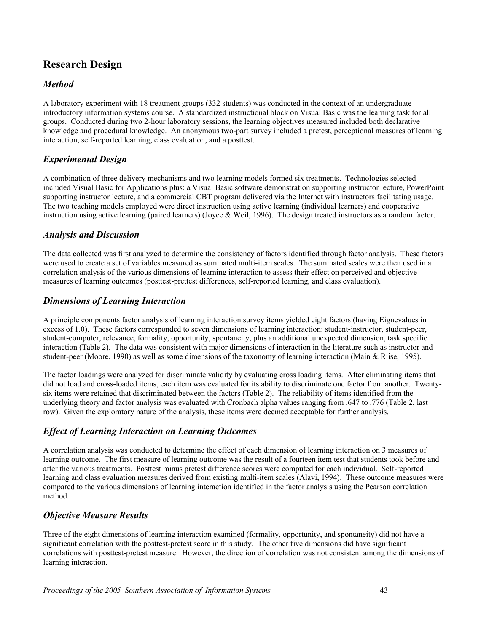### **Research Design**

#### *Method*

A laboratory experiment with 18 treatment groups (332 students) was conducted in the context of an undergraduate introductory information systems course. A standardized instructional block on Visual Basic was the learning task for all groups. Conducted during two 2-hour laboratory sessions, the learning objectives measured included both declarative knowledge and procedural knowledge. An anonymous two-part survey included a pretest, perceptional measures of learning interaction, self-reported learning, class evaluation, and a posttest.

### *Experimental Design*

A combination of three delivery mechanisms and two learning models formed six treatments. Technologies selected included Visual Basic for Applications plus: a Visual Basic software demonstration supporting instructor lecture, PowerPoint supporting instructor lecture, and a commercial CBT program delivered via the Internet with instructors facilitating usage. The two teaching models employed were direct instruction using active learning (individual learners) and cooperative instruction using active learning (paired learners) (Joyce & Weil, 1996). The design treated instructors as a random factor.

#### *Analysis and Discussion*

The data collected was first analyzed to determine the consistency of factors identified through factor analysis. These factors were used to create a set of variables measured as summated multi-item scales. The summated scales were then used in a correlation analysis of the various dimensions of learning interaction to assess their effect on perceived and objective measures of learning outcomes (posttest-prettest differences, self-reported learning, and class evaluation).

### *Dimensions of Learning Interaction*

A principle components factor analysis of learning interaction survey items yielded eight factors (having Eignevalues in excess of 1.0). These factors corresponded to seven dimensions of learning interaction: student-instructor, student-peer, student-computer, relevance, formality, opportunity, spontaneity, plus an additional unexpected dimension, task specific interaction (Table 2). The data was consistent with major dimensions of interaction in the literature such as instructor and student-peer (Moore, 1990) as well as some dimensions of the taxonomy of learning interaction (Main & Riise, 1995).

The factor loadings were analyzed for discriminate validity by evaluating cross loading items. After eliminating items that did not load and cross-loaded items, each item was evaluated for its ability to discriminate one factor from another. Twentysix items were retained that discriminated between the factors (Table 2). The reliability of items identified from the underlying theory and factor analysis was evaluated with Cronbach alpha values ranging from .647 to .776 (Table 2, last row). Given the exploratory nature of the analysis, these items were deemed acceptable for further analysis.

### *Effect of Learning Interaction on Learning Outcomes*

A correlation analysis was conducted to determine the effect of each dimension of learning interaction on 3 measures of learning outcome. The first measure of learning outcome was the result of a fourteen item test that students took before and after the various treatments. Posttest minus pretest difference scores were computed for each individual. Self-reported learning and class evaluation measures derived from existing multi-item scales (Alavi, 1994). These outcome measures were compared to the various dimensions of learning interaction identified in the factor analysis using the Pearson correlation method.

### *Objective Measure Results*

Three of the eight dimensions of learning interaction examined (formality, opportunity, and spontaneity) did not have a significant correlation with the posttest-pretest score in this study. The other five dimensions did have significant correlations with posttest-pretest measure. However, the direction of correlation was not consistent among the dimensions of learning interaction.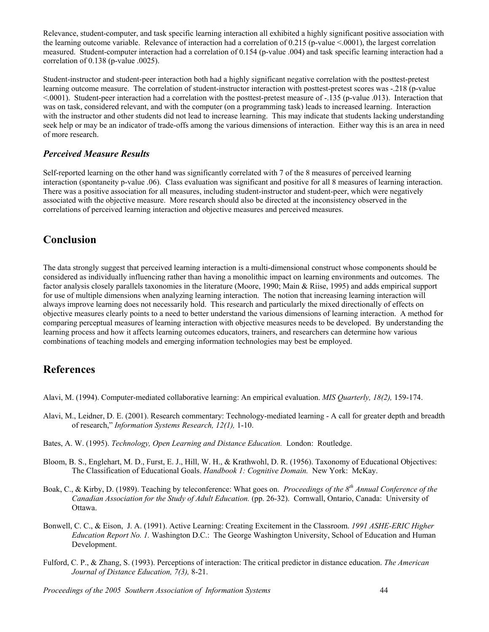Relevance, student-computer, and task specific learning interaction all exhibited a highly significant positive association with the learning outcome variable. Relevance of interaction had a correlation of 0.215 (p-value <.0001), the largest correlation measured. Student-computer interaction had a correlation of 0.154 (p-value .004) and task specific learning interaction had a correlation of 0.138 (p-value .0025).

Student-instructor and student-peer interaction both had a highly significant negative correlation with the posttest-pretest learning outcome measure. The correlation of student-instructor interaction with posttest-pretest scores was -.218 (p-value <.0001). Student-peer interaction had a correlation with the posttest-pretest measure of -.135 (p-value .013). Interaction that was on task, considered relevant, and with the computer (on a programming task) leads to increased learning. Interaction with the instructor and other students did not lead to increase learning. This may indicate that students lacking understanding seek help or may be an indicator of trade-offs among the various dimensions of interaction. Either way this is an area in need of more research.

### *Perceived Measure Results*

Self-reported learning on the other hand was significantly correlated with 7 of the 8 measures of perceived learning interaction (spontaneity p-value .06). Class evaluation was significant and positive for all 8 measures of learning interaction. There was a positive association for all measures, including student-instructor and student-peer, which were negatively associated with the objective measure. More research should also be directed at the inconsistency observed in the correlations of perceived learning interaction and objective measures and perceived measures.

### **Conclusion**

The data strongly suggest that perceived learning interaction is a multi-dimensional construct whose components should be considered as individually influencing rather than having a monolithic impact on learning environments and outcomes. The factor analysis closely parallels taxonomies in the literature (Moore, 1990; Main & Riise, 1995) and adds empirical support for use of multiple dimensions when analyzing learning interaction. The notion that increasing learning interaction will always improve learning does not necessarily hold. This research and particularly the mixed directionally of effects on objective measures clearly points to a need to better understand the various dimensions of learning interaction. A method for comparing perceptual measures of learning interaction with objective measures needs to be developed. By understanding the learning process and how it affects learning outcomes educators, trainers, and researchers can determine how various combinations of teaching models and emerging information technologies may best be employed.

### **References**

Alavi, M. (1994). Computer-mediated collaborative learning: An empirical evaluation. *MIS Quarterly, 18(2),* 159-174.

- Alavi, M., Leidner, D. E. (2001). Research commentary: Technology-mediated learning A call for greater depth and breadth of research," *Information Systems Research, 12(1),* 1-10.
- Bates, A. W. (1995). *Technology, Open Learning and Distance Education.* London: Routledge.
- Bloom, B. S., Englehart, M. D., Furst, E. J., Hill, W. H., & Krathwohl, D. R. (1956). Taxonomy of Educational Objectives: The Classification of Educational Goals. *Handbook 1: Cognitive Domain.* New York: McKay.
- Boak, C., & Kirby, D. (1989). Teaching by teleconference: What goes on. *Proceedings of the 8th Annual Conference of the Canadian Association for the Study of Adult Education.* (pp. 26-32). Cornwall, Ontario, Canada: University of Ottawa.
- Bonwell, C. C., & Eison, J. A. (1991). Active Learning: Creating Excitement in the Classroom. *1991 ASHE-ERIC Higher Education Report No. 1.* Washington D.C.: The George Washington University, School of Education and Human Development.
- Fulford, C. P., & Zhang, S. (1993). Perceptions of interaction: The critical predictor in distance education. *The American Journal of Distance Education, 7(3),* 8-21.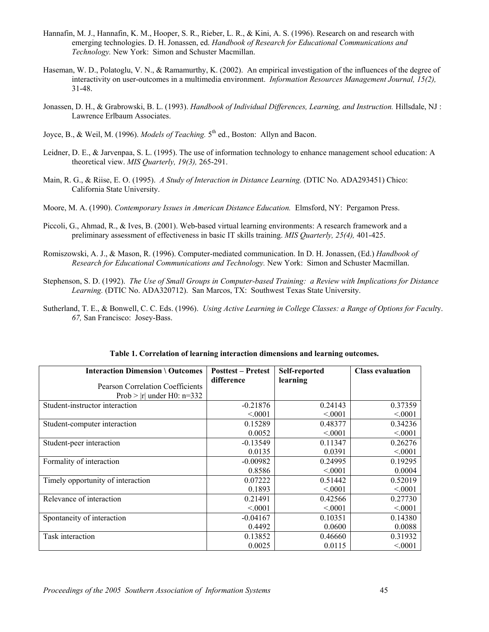- Hannafin, M. J., Hannafin, K. M., Hooper, S. R., Rieber, L. R., & Kini, A. S. (1996). Research on and research with emerging technologies. D. H. Jonassen, ed. *Handbook of Research for Educational Communications and Technology.* New York: Simon and Schuster Macmillan.
- Haseman, W. D., Polatoglu, V. N., & Ramamurthy, K. (2002). An empirical investigation of the influences of the degree of interactivity on user-outcomes in a multimedia environment. *Information Resources Management Journal, 15(2),* 31-48.
- Jonassen, D. H., & Grabrowski, B. L. (1993). *Handbook of Individual Differences, Learning, and Instruction.* Hillsdale, NJ : Lawrence Erlbaum Associates.
- Joyce, B., & Weil, M. (1996). *Models of Teaching*. 5<sup>th</sup> ed., Boston: Allyn and Bacon.
- Leidner, D. E., & Jarvenpaa, S. L. (1995). The use of information technology to enhance management school education: A theoretical view. *MIS Quarterly, 19(3),* 265-291.
- Main, R. G., & Riise, E. O. (1995). *A Study of Interaction in Distance Learning.* (DTIC No. ADA293451) Chico: California State University.
- Moore, M. A. (1990). *Contemporary Issues in American Distance Education.* Elmsford, NY: Pergamon Press.
- Piccoli, G., Ahmad, R., & Ives, B. (2001). Web-based virtual learning environments: A research framework and a preliminary assessment of effectiveness in basic IT skills training. *MIS Quarterly, 25(4),* 401-425.
- Romiszowski, A. J., & Mason, R. (1996). Computer-mediated communication. In D. H. Jonassen, (Ed.) *Handbook of Research for Educational Communications and Technology.* New York: Simon and Schuster Macmillan.
- Stephenson, S. D. (1992). *The Use of Small Groups in Computer-based Training: a Review with Implications for Distance Learning.* (DTIC No. ADA320712). San Marcos, TX: Southwest Texas State University.
- Sutherland, T. E., & Bonwell, C. C. Eds. (1996). *Using Active Learning in College Classes: a Range of Options for Facult*y. *67,* San Francisco: Josey-Bass.

| <b>Interaction Dimension \ Outcomes</b> | <b>Posttest – Pretest</b><br>difference | Self-reported<br>learning | <b>Class evaluation</b> |
|-----------------------------------------|-----------------------------------------|---------------------------|-------------------------|
| <b>Pearson Correlation Coefficients</b> |                                         |                           |                         |
| Prob $>$  r  under H0: n=332            |                                         |                           |                         |
| Student-instructor interaction          | $-0.21876$                              | 0.24143                   | 0.37359                 |
|                                         | < 0001                                  | < 0.001                   | < 0001                  |
| Student-computer interaction            | 0.15289                                 | 0.48377                   | 0.34236                 |
|                                         | 0.0052                                  | < 0.001                   | < 0001                  |
| Student-peer interaction                | $-0.13549$                              | 0.11347                   | 0.26276                 |
|                                         | 0.0135                                  | 0.0391                    | < 0001                  |
| Formality of interaction                | $-0.00982$                              | 0.24995                   | 0.19295                 |
|                                         | 0.8586                                  | < 0001                    | 0.0004                  |
| Timely opportunity of interaction       | 0.07222                                 | 0.51442                   | 0.52019                 |
|                                         | 0.1893                                  | < 0.001                   | < 0001                  |
| Relevance of interaction                | 0.21491                                 | 0.42566                   | 0.27730                 |
|                                         | < 0001                                  | < 0001                    | < 0001                  |
| Spontaneity of interaction              | $-0.04167$                              | 0.10351                   | 0.14380                 |
|                                         | 0.4492                                  | 0.0600                    | 0.0088                  |
| Task interaction                        | 0.13852                                 | 0.46660                   | 0.31932                 |
|                                         | 0.0025                                  | 0.0115                    | < 0001                  |

|  |  | Table 1. Correlation of learning interaction dimensions and learning outcomes. |
|--|--|--------------------------------------------------------------------------------|
|  |  |                                                                                |